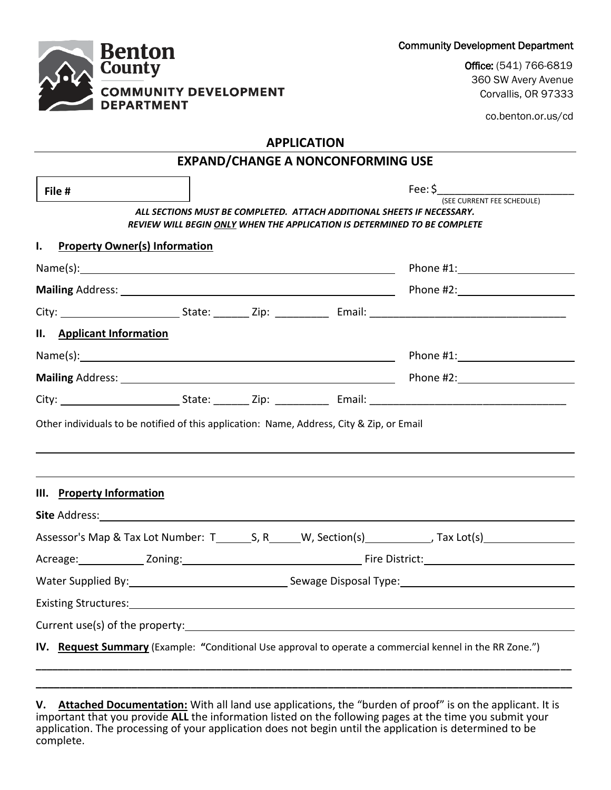Community Development Department

Office: (541) 766-6819 360 SW Avery Avenue Corvallis, OR 97333

co.benton.or.us/cd

# **APPLICATION**

| File #                                                                                                                                                                                                                         |  | ALL SECTIONS MUST BE COMPLETED. ATTACH ADDITIONAL SHEETS IF NECESSARY. | (SEE CURRENT FEE SCHEDULE)<br>REVIEW WILL BEGIN ONLY WHEN THE APPLICATION IS DETERMINED TO BE COMPLETE         |
|--------------------------------------------------------------------------------------------------------------------------------------------------------------------------------------------------------------------------------|--|------------------------------------------------------------------------|----------------------------------------------------------------------------------------------------------------|
| $\mathbf{I}$ .<br><b>Property Owner(s) Information</b>                                                                                                                                                                         |  |                                                                        |                                                                                                                |
|                                                                                                                                                                                                                                |  |                                                                        | Phone #1: New York Phone #1:                                                                                   |
|                                                                                                                                                                                                                                |  |                                                                        |                                                                                                                |
|                                                                                                                                                                                                                                |  |                                                                        |                                                                                                                |
| II. Applicant Information                                                                                                                                                                                                      |  |                                                                        |                                                                                                                |
|                                                                                                                                                                                                                                |  |                                                                        |                                                                                                                |
|                                                                                                                                                                                                                                |  |                                                                        |                                                                                                                |
|                                                                                                                                                                                                                                |  |                                                                        |                                                                                                                |
| Other individuals to be notified of this application: Name, Address, City & Zip, or Email                                                                                                                                      |  |                                                                        |                                                                                                                |
| III. Property Information                                                                                                                                                                                                      |  |                                                                        |                                                                                                                |
|                                                                                                                                                                                                                                |  |                                                                        |                                                                                                                |
|                                                                                                                                                                                                                                |  |                                                                        |                                                                                                                |
|                                                                                                                                                                                                                                |  |                                                                        |                                                                                                                |
|                                                                                                                                                                                                                                |  |                                                                        | Water Supplied By: 1998 Mater Supplied By: 1998 Mater Supplied By: 1998 Mater Supplied By: 1998 Mater Supplied |
| Existing Structures: 1999 Contract Contract Contract Contract Contract Contract Contract Contract Contract Contract Contract Contract Contract Contract Contract Contract Contract Contract Contract Contract Contract Contrac |  |                                                                        |                                                                                                                |

**V. Attached Documentation:** With all land use applications, the "burden of proof" is on the applicant. It is important that you provide **ALL** the information listed on the following pages at the time you submit your application. The processing of your application does not begin until the application is determined to be complete.

**\_\_\_\_\_\_\_\_\_\_\_\_\_\_\_\_\_\_\_\_\_\_\_\_\_\_\_\_\_\_\_\_\_\_\_\_\_\_\_\_\_\_\_\_\_\_\_\_\_\_\_\_\_\_\_\_\_\_\_\_\_\_\_\_\_\_\_\_\_\_\_\_\_\_\_\_\_\_\_\_\_\_\_\_\_\_\_\_\_\_**